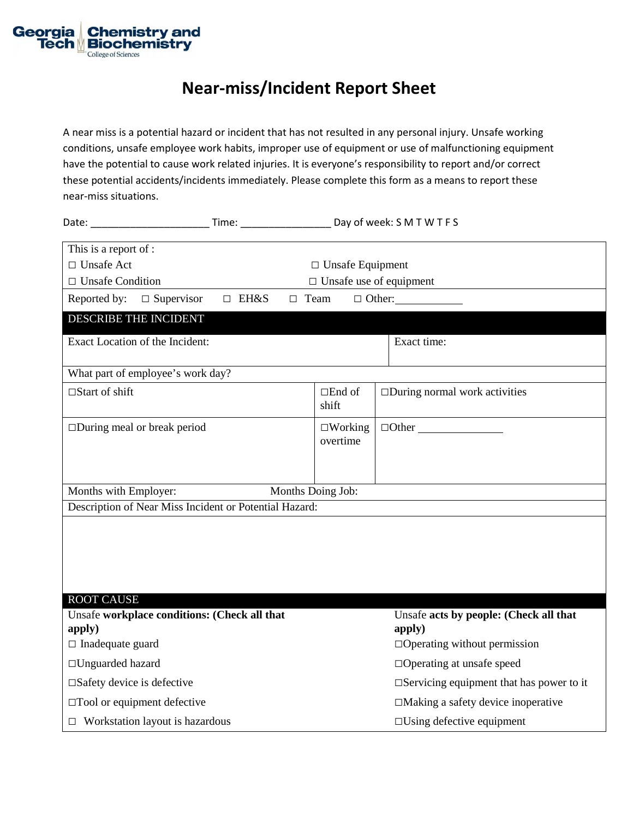

## **Near-miss/Incident Report Sheet**

A near miss is a potential hazard or incident that has not resulted in any personal injury. Unsafe working conditions, unsafe employee work habits, improper use of equipment or use of malfunctioning equipment have the potential to cause work related injuries. It is everyone's responsibility to report and/or correct these potential accidents/incidents immediately. Please complete this form as a means to report these near-miss situations.

| Date: <u>with a series of the series of the series of the series of the series of the series of the series of the series of the series of the series of the series of the series of the series of the series of the series of th</u> | Time: Time:                    |                               | Day of week: S M T W T F S                         |  |  |
|--------------------------------------------------------------------------------------------------------------------------------------------------------------------------------------------------------------------------------------|--------------------------------|-------------------------------|----------------------------------------------------|--|--|
| This is a report of :                                                                                                                                                                                                                |                                |                               |                                                    |  |  |
| $\Box$ Unsafe Act                                                                                                                                                                                                                    |                                | $\square$ Unsafe Equipment    |                                                    |  |  |
| $\Box$ Unsafe Condition                                                                                                                                                                                                              | $\Box$ Unsafe use of equipment |                               |                                                    |  |  |
| $\Box$ Supervisor<br>Reported by:                                                                                                                                                                                                    | $\Box$ EH&S<br>$\Box$ Team     |                               | $\Box$ Other:                                      |  |  |
| DESCRIBE THE INCIDENT                                                                                                                                                                                                                |                                |                               |                                                    |  |  |
| Exact Location of the Incident:                                                                                                                                                                                                      |                                |                               | Exact time:                                        |  |  |
| What part of employee's work day?                                                                                                                                                                                                    |                                |                               |                                                    |  |  |
| $\Box$ Start of shift                                                                                                                                                                                                                |                                | $\square$ End of<br>shift     | $\square$ During normal work activities            |  |  |
| $\Box$ During meal or break period                                                                                                                                                                                                   |                                | $\square$ Working<br>overtime | $\Box$ Other                                       |  |  |
| Months with Employer:                                                                                                                                                                                                                |                                | Months Doing Job:             |                                                    |  |  |
| Description of Near Miss Incident or Potential Hazard:                                                                                                                                                                               |                                |                               |                                                    |  |  |
| <b>ROOT CAUSE</b><br>Unsafe workplace conditions: (Check all that                                                                                                                                                                    |                                |                               | Unsafe acts by people: (Check all that             |  |  |
| apply)                                                                                                                                                                                                                               |                                |                               | apply)                                             |  |  |
| $\Box$ Inadequate guard                                                                                                                                                                                                              |                                |                               | $\Box$ Operating without permission                |  |  |
| $\Box$ Unguarded hazard                                                                                                                                                                                                              |                                |                               | $\Box$ Operating at unsafe speed                   |  |  |
| $\square$ Safety device is defective                                                                                                                                                                                                 |                                |                               |                                                    |  |  |
|                                                                                                                                                                                                                                      |                                |                               | $\square$ Servicing equipment that has power to it |  |  |
| $\square$ Tool or equipment defective                                                                                                                                                                                                |                                |                               | $\Box$ Making a safety device inoperative          |  |  |